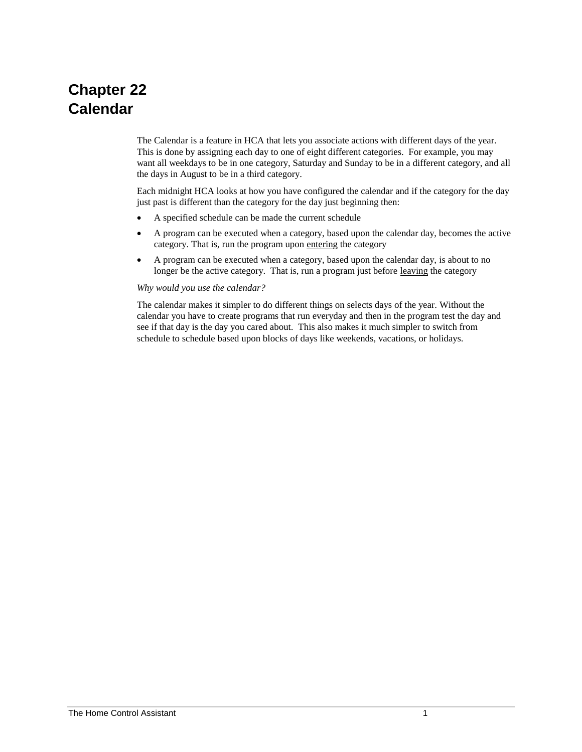# **Chapter 22 Calendar**

The Calendar is a feature in HCA that lets you associate actions with different days of the year. This is done by assigning each day to one of eight different categories. For example, you may want all weekdays to be in one category, Saturday and Sunday to be in a different category, and all the days in August to be in a third category.

Each midnight HCA looks at how you have configured the calendar and if the category for the day just past is different than the category for the day just beginning then:

- A specified schedule can be made the current schedule
- A program can be executed when a category, based upon the calendar day, becomes the active category. That is, run the program upon entering the category
- A program can be executed when a category, based upon the calendar day, is about to no longer be the active category. That is, run a program just before leaving the category

#### *Why would you use the calendar?*

The calendar makes it simpler to do different things on selects days of the year. Without the calendar you have to create programs that run everyday and then in the program test the day and see if that day is the day you cared about. This also makes it much simpler to switch from schedule to schedule based upon blocks of days like weekends, vacations, or holidays.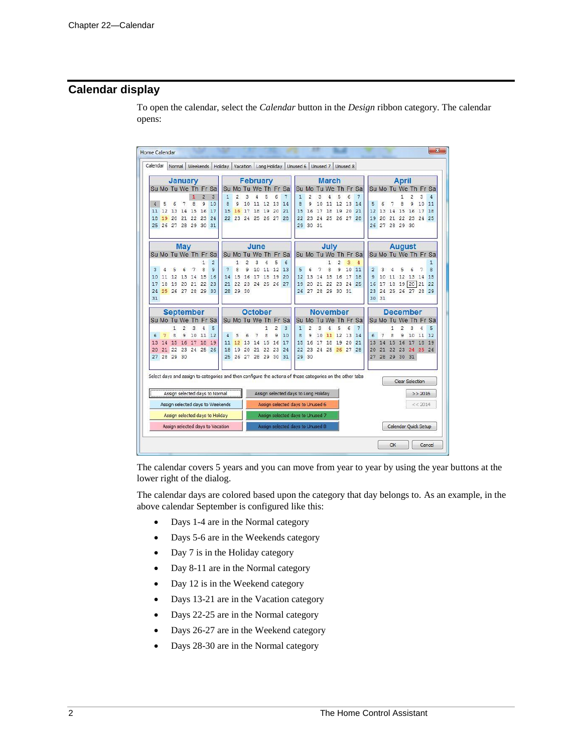## **Calendar display**

To open the calendar, select the *Calendar* button in the *Design* ribbon category. The calendar opens:

|          | Home Calendar |        |                      |    |                |                                  |                                  |                |                |                      |          |             |    |                                                                                                           |                |          |                      |                |          |                |                |                      |       |                      |                      |          | X            |
|----------|---------------|--------|----------------------|----|----------------|----------------------------------|----------------------------------|----------------|----------------|----------------------|----------|-------------|----|-----------------------------------------------------------------------------------------------------------|----------------|----------|----------------------|----------------|----------|----------------|----------------|----------------------|-------|----------------------|----------------------|----------|--------------|
| Calendar |               | Normal |                      |    | Weekends       |                                  | Holiday Vacation Long Holiday    |                |                |                      |          |             |    | Unused 6                                                                                                  |                | Unused 7 |                      |                | Unused 8 |                |                |                      |       |                      |                      |          |              |
|          |               |        | <b>January</b>       |    |                |                                  |                                  |                |                | <b>February</b>      |          |             |    |                                                                                                           |                |          | <b>March</b>         |                |          |                |                |                      |       | <b>April</b>         |                      |          |              |
|          |               |        | Su Mo Tu We Th Fr Sa |    |                |                                  |                                  |                |                | Su Mo Tu We Th Fr Sa |          |             |    | Su                                                                                                        |                |          | Mo Tu We Th Fr Sa    |                |          |                |                |                      |       |                      | Su Mo Tu We Th Fr Sa |          |              |
|          |               |        |                      | 1  | $\overline{2}$ | $\overline{3}$                   | 1                                | 2              | 3              |                      | 5        | 6           | 7  | $\mathbf{1}$                                                                                              | $\overline{2}$ | 3        | 4                    | 5              | 6        | 7              |                |                      |       | 1                    | 2                    | 3        | 4            |
| 4        | 5             |        |                      | 8  | 9              | 10                               | 8                                | 9              | 10             | 11                   | 12       | 13          | 14 | 8                                                                                                         | 9              | 10       | 11                   | 12             | 13       | 14             | 5              | 6                    |       | 8                    | 9                    | 10       | 11           |
| 11       | 12            | 13     | 14                   | 15 | 16             | 17                               | 15                               | 16             | 17             | 18                   | 19       | 20          | 21 | 15                                                                                                        | 16             | 17       | 18                   | 19             | 20       | 21             | 12             | 13                   | 14    | 15                   | 16                   | 17       | 18           |
| 18<br>25 | 19            | 20     | 21<br>26 27 28 29    | 22 | 23<br>30 31    | 24                               | 22                               |                |                | 23 24 25 26          |          | 27 28       |    | 22<br>29                                                                                                  | 23<br>30 31    | 24       | 25 26                |                | 27       | 28             | 19             | 20<br>26 27 28 29 30 | 21    | 22                   | 23                   | 24       | 25           |
|          |               |        |                      |    |                |                                  |                                  |                |                |                      |          |             |    |                                                                                                           |                |          |                      |                |          |                |                |                      |       |                      |                      |          |              |
|          |               |        | <b>May</b>           |    |                |                                  |                                  |                |                | June                 |          |             |    |                                                                                                           |                |          | July                 |                |          |                |                |                      |       |                      | <b>August</b>        |          |              |
|          |               |        | Su Mo Tu We Th Fr Sa |    |                |                                  |                                  |                |                | Su Mo Tu We Th Fr Sa |          |             |    |                                                                                                           |                |          | Su Mo Tu We Th Fr Sa |                |          |                |                |                      |       |                      | Su Mo Tu We Th Fr Sa |          |              |
|          |               |        |                      |    | $\mathbf{1}$   | $\overline{2}$                   |                                  | 1              | $\overline{c}$ | 3                    | 4        | 5           | 6  |                                                                                                           |                |          | $\mathbf{1}$         | $\overline{2}$ | 3        | $\overline{4}$ |                |                      |       |                      |                      |          | $\mathbf{1}$ |
| 3        | 4             |        | 6                    | 7  | 8              | 9                                | 7                                | 8              | 9              | 10                   | 11 12    |             | 13 | 5                                                                                                         | 6              | 7        | 8                    | 9              | 10       | 11             | $\overline{2}$ | 3                    | Δ     | 5                    | 6                    | 7        | 8            |
| 10       | 11            | 12     | 13                   | 14 | 15             | 16                               | 14                               | 15             | 16 17          |                      | 18       | 19          | 20 | 12                                                                                                        | 13             | 14       | 15                   | 16             | 17       | 18             | 9              | 10                   |       | 11 12 13             | 20                   | 14       | 15           |
| 17<br>24 | 18            | 19     | 20<br>25 26 27       | 21 | 22<br>28 29 30 | 23                               | 21                               | 22<br>28 29 30 |                | 23 24 25 26 27       |          |             |    | 19                                                                                                        | 20<br>26 27    | 21<br>28 | 22<br>29 30          | 23             | 24<br>31 | 25             | 16<br>23       | 17                   | 18 19 | 24 25 26 27          |                      | 21<br>28 | 22<br>29     |
| 31       |               |        |                      |    |                |                                  |                                  |                |                |                      |          |             |    |                                                                                                           |                |          |                      |                |          |                |                | 30 31                |       |                      |                      |          |              |
|          |               |        | <b>September</b>     |    |                |                                  |                                  |                |                | October              |          |             |    |                                                                                                           |                |          | <b>November</b>      |                |          |                |                |                      |       |                      | <b>December</b>      |          |              |
|          |               |        | Su Mo Tu We Th Fr Sa |    |                |                                  |                                  |                |                | Su Mo Tu We Th Fr Sa |          |             |    | Su                                                                                                        |                |          | Mo Tu We             |                | Th Fr    | Sa             |                |                      |       |                      | Su Mo Tu We Th Fr Sa |          |              |
|          |               | 1      | 2                    | 3  | 4              | 5                                |                                  |                |                |                      | 1        | 2           | 3  | $\mathbf{1}$                                                                                              | $\overline{2}$ | 3        | 4                    | 5              | 6        | 7              |                |                      | 1     | $\overline{2}$       | 3                    | 4        | 5            |
| 6        | 7             | 8      | 9                    | 10 | 11 12          |                                  | 4                                | 5              | 6              | 7                    | 8        | 9           | 10 | 8                                                                                                         | ٩              | 10       | 11                   | 12             | 13       | 14             | 6              | 7                    | 8     | 9                    | 10                   | 11       | 12           |
| 13       | 14            | 15     | 16                   | 17 | 18             | 19                               | 11                               | 12             | 13             | 14                   | 15       | 16          | 17 | 15                                                                                                        | 16             | 17       | 18                   | 19             | 20       | 21             | 13             | 14                   | 15    | 16                   | 17                   | 18       | 19           |
| 20<br>27 | 21<br>28 29   | 22     | 23<br>30             |    | 24 25 26       |                                  | 18<br>25                         | 19<br>26 27 28 | 20             | 21                   | 22<br>29 | 23<br>30 31 | 24 | 22                                                                                                        | 29 30          |          | 23 24 25 26 27 28    |                |          |                | 20<br>27       | 21                   |       | 22 23<br>28 29 30 31 | 24                   | 25 26    |              |
|          |               |        |                      |    |                |                                  |                                  |                |                |                      |          |             |    |                                                                                                           |                |          |                      |                |          |                |                |                      |       |                      |                      |          |              |
|          |               |        |                      |    |                |                                  |                                  |                |                |                      |          |             |    | Select days and assign to categories and then configure the actions of those categories on the other tabs |                |          |                      |                |          |                |                |                      |       |                      | Clear Selection      |          |              |
|          |               |        |                      |    |                |                                  |                                  |                |                |                      |          |             |    |                                                                                                           |                |          |                      |                |          |                |                |                      |       |                      |                      |          |              |
|          |               |        |                      |    |                | Assign selected days to Normal   |                                  |                |                |                      |          |             |    | Assign selected days to Long Holiday                                                                      |                |          |                      |                |          |                |                |                      |       |                      |                      | >> 2016  |              |
|          |               |        |                      |    |                |                                  | Assign selected days to Weekends |                |                |                      |          |             |    | Assign selected days to Unused 6                                                                          |                |          |                      |                |          |                |                |                      |       |                      |                      | << 2014  |              |
|          |               |        |                      |    |                | Assign selected days to Holiday  |                                  |                |                |                      |          |             |    | Assign selected days to Unused 7                                                                          |                |          |                      |                |          |                |                |                      |       |                      |                      |          |              |
|          |               |        |                      |    |                | Assign selected days to Vacation |                                  |                |                |                      |          |             |    | Assign selected days to Unused 8                                                                          |                |          |                      |                |          |                |                |                      |       |                      | Calendar Quick Setup |          |              |
|          |               |        |                      |    |                |                                  |                                  |                |                |                      |          |             |    |                                                                                                           |                |          |                      |                |          |                |                |                      | OK    |                      |                      |          | Cancel       |
|          |               |        |                      |    |                |                                  |                                  |                |                |                      |          |             |    |                                                                                                           |                |          |                      |                |          |                |                |                      |       |                      |                      |          |              |

The calendar covers 5 years and you can move from year to year by using the year buttons at the lower right of the dialog.

The calendar days are colored based upon the category that day belongs to. As an example, in the above calendar September is configured like this:

- Days 1-4 are in the Normal category
- Days 5-6 are in the Weekends category
- Day 7 is in the Holiday category
- Day 8-11 are in the Normal category
- Day 12 is in the Weekend category
- Days 13-21 are in the Vacation category
- Days 22-25 are in the Normal category
- Days 26-27 are in the Weekend category
- Days 28-30 are in the Normal category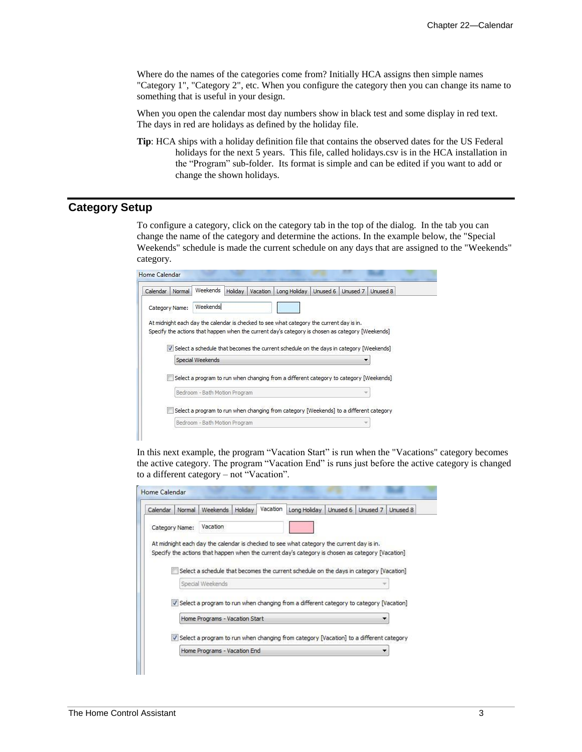Where do the names of the categories come from? Initially HCA assigns then simple names "Category 1", "Category 2", etc. When you configure the category then you can change its name to something that is useful in your design.

When you open the calendar most day numbers show in black test and some display in red text. The days in red are holidays as defined by the holiday file.

**Tip**: HCA ships with a holiday definition file that contains the observed dates for the US Federal holidays for the next 5 years. This file, called holidays.csv is in the HCA installation in the "Program" sub-folder. Its format is simple and can be edited if you want to add or change the shown holidays.

### **Category Setup**

To configure a category, click on the category tab in the top of the dialog. In the tab you can change the name of the category and determine the actions. In the example below, the "Special Weekends" schedule is made the current schedule on any days that are assigned to the "Weekends" category.

| Calendar<br>Normal                                                                               | Weekends                                                                                 | Holiday | Vacation | Long Holiday                                                                           | Unused 6 |  | Unused 7   Unused 8 |  |  |  |  |  |  |
|--------------------------------------------------------------------------------------------------|------------------------------------------------------------------------------------------|---------|----------|----------------------------------------------------------------------------------------|----------|--|---------------------|--|--|--|--|--|--|
| Category Name:                                                                                   | Weekends                                                                                 |         |          |                                                                                        |          |  |                     |  |  |  |  |  |  |
| At midnight each day the calendar is checked to see what category the current day is in.         |                                                                                          |         |          |                                                                                        |          |  |                     |  |  |  |  |  |  |
| Specify the actions that happen when the current day's category is chosen as category [Weekends] |                                                                                          |         |          |                                                                                        |          |  |                     |  |  |  |  |  |  |
|                                                                                                  |                                                                                          |         |          |                                                                                        |          |  |                     |  |  |  |  |  |  |
|                                                                                                  | V Select a schedule that becomes the current schedule on the days in category [Weekends] |         |          |                                                                                        |          |  |                     |  |  |  |  |  |  |
|                                                                                                  | Special Weekends                                                                         |         |          |                                                                                        |          |  |                     |  |  |  |  |  |  |
|                                                                                                  | Select a program to run when changing from a different category to category [Weekends]   |         |          |                                                                                        |          |  |                     |  |  |  |  |  |  |
|                                                                                                  |                                                                                          |         |          |                                                                                        |          |  |                     |  |  |  |  |  |  |
|                                                                                                  | Bedroom - Bath Motion Program                                                            |         |          |                                                                                        |          |  |                     |  |  |  |  |  |  |
|                                                                                                  |                                                                                          |         |          | Select a program to run when changing from category [Weekends] to a different category |          |  |                     |  |  |  |  |  |  |

In this next example, the program "Vacation Start" is run when the "Vacations" category becomes the active category. The program "Vacation End" is runs just before the active category is changed to a different category – not "Vacation".

| Calendar | Normal         | Weekends                       | Holiday | Vacation | Long Holiday                                                                                     | Unused 6 | Unused 7 | Unused 8 |
|----------|----------------|--------------------------------|---------|----------|--------------------------------------------------------------------------------------------------|----------|----------|----------|
|          | Category Name: | Vacation                       |         |          |                                                                                                  |          |          |          |
|          |                |                                |         |          | At midnight each day the calendar is checked to see what category the current day is in.         |          |          |          |
|          |                |                                |         |          | Specify the actions that happen when the current day's category is chosen as category [Vacation] |          |          |          |
|          |                |                                |         |          | Select a schedule that becomes the current schedule on the days in category [Vacation]           |          |          |          |
|          |                | Special Weekends               |         |          |                                                                                                  |          |          |          |
|          |                |                                |         |          |                                                                                                  |          |          |          |
|          |                |                                |         |          | V Select a program to run when changing from a different category to category [Vacation]         |          |          |          |
|          |                | Home Programs - Vacation Start |         |          |                                                                                                  |          |          |          |
|          |                |                                |         |          | V Select a program to run when changing from category [Vacation] to a different category         |          |          |          |
|          |                | Home Programs - Vacation End   |         |          |                                                                                                  |          |          |          |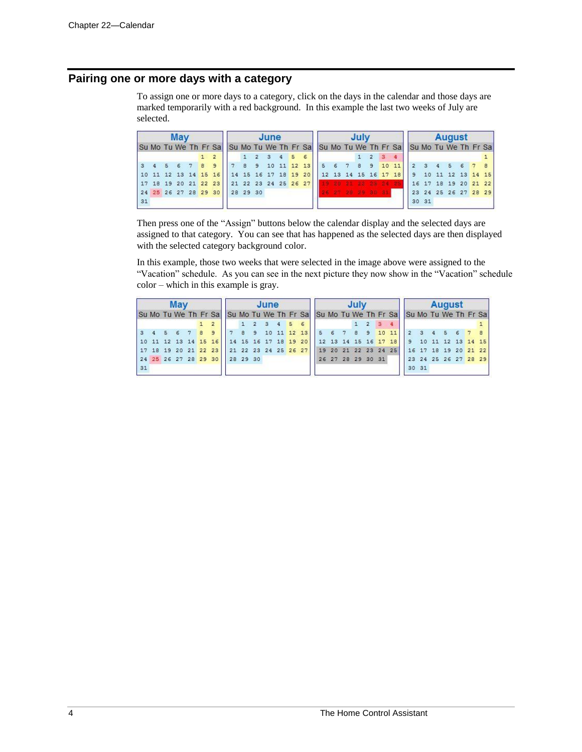## **Pairing one or more days with a category**

To assign one or more days to a category, click on the days in the calendar and those days are marked temporarily with a red background. In this example the last two weeks of July are selected.

|    |  | May         |  |                                                                                     |  | June                    |  |                                   |  | July              |  |               |      | <b>August</b>        |  |  |
|----|--|-------------|--|-------------------------------------------------------------------------------------|--|-------------------------|--|-----------------------------------|--|-------------------|--|---------------|------|----------------------|--|--|
|    |  |             |  | Su Mo Tu We Th Fr Sa Su Mo Tu We Th Fr Sa Su Mo Tu We Th Fr Sa Su Mo Tu We Th Fr Sa |  |                         |  |                                   |  |                   |  |               |      |                      |  |  |
|    |  |             |  |                                                                                     |  | $1 \t2 \t3 \t4 \t5 \t6$ |  |                                   |  | $1 \t2 \t3 \t4$   |  |               |      |                      |  |  |
|    |  | 4 5 6 7 8 9 |  |                                                                                     |  |                         |  | 7 8 9 10 11 12 13 5 6 7 8 9 10 11 |  |                   |  | 2 3 4 5 6 7 8 |      |                      |  |  |
|    |  |             |  | 10 11 12 13 14 15 16 16 16 17 18 19 20 12 13 14 15 16 17 18 9 10 11 12 13 14 15     |  |                         |  |                                   |  |                   |  |               |      |                      |  |  |
|    |  |             |  | 17 18 19 20 21 22 23 21 22 23 24 25 26 27 19 20 21 22 23 24 25 16 17 18 19 20 21 22 |  |                         |  |                                   |  |                   |  |               |      |                      |  |  |
|    |  |             |  | 24 25 26 27 28 29 30 28 29 30                                                       |  |                         |  |                                   |  | 26 27 23 23 33 34 |  |               |      | 23 24 25 26 27 28 29 |  |  |
| 31 |  |             |  |                                                                                     |  |                         |  |                                   |  |                   |  |               | 3031 |                      |  |  |

Then press one of the "Assign" buttons below the calendar display and the selected days are assigned to that category. You can see that has happened as the selected days are then displayed with the selected category background color.

In this example, those two weeks that were selected in the image above were assigned to the "Vacation" schedule. As you can see in the next picture they now show in the "Vacation" schedule color – which in this example is gray.

|    |  | May |  |                               |  | June                    |  |                                                                                     |  |  |  |                                        |  | <b>August</b> |  |  |
|----|--|-----|--|-------------------------------|--|-------------------------|--|-------------------------------------------------------------------------------------|--|--|--|----------------------------------------|--|---------------|--|--|
|    |  |     |  |                               |  |                         |  | Su Mo Tu We Th Fr Sa Su Mo Tu We Th Fr Sa Su Mo Tu We Th Fr Sa Su Mo Tu We Th Fr Sa |  |  |  |                                        |  |               |  |  |
|    |  |     |  |                               |  | $1 \t2 \t3 \t4 \t5 \t6$ |  |                                                                                     |  |  |  |                                        |  |               |  |  |
|    |  |     |  |                               |  |                         |  | 3 4 5 6 7 8 9 7 8 9 10 11 12 13 5 6 7 8 9 10 11 2 3 4 5 6 7 8                       |  |  |  |                                        |  |               |  |  |
|    |  |     |  |                               |  |                         |  | 10 11 12 13 14 15 16 16 16 16 17 18 19 20 12 13 14 15 16 17 18 9 10 11 12 13 14 15  |  |  |  |                                        |  |               |  |  |
|    |  |     |  |                               |  |                         |  | 17 18 19 20 21 22 23 21 22 23 24 25 26 27 19 20 21 22 23 24 25 16 17 18 19 20 21 22 |  |  |  |                                        |  |               |  |  |
|    |  |     |  | 24 25 26 27 28 29 30 28 29 30 |  |                         |  |                                                                                     |  |  |  | 26 27 28 29 30 31 23 24 25 26 27 28 29 |  |               |  |  |
| 31 |  |     |  |                               |  |                         |  |                                                                                     |  |  |  | 3031                                   |  |               |  |  |